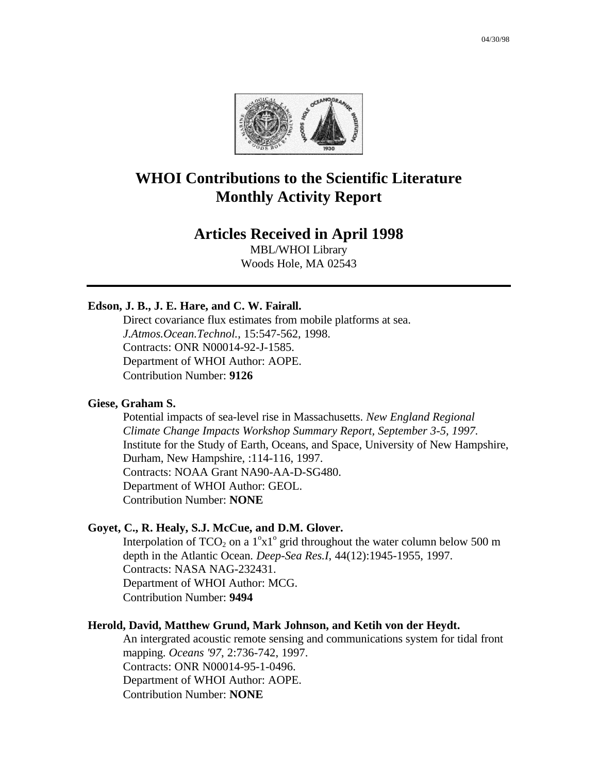

# **WHOI Contributions to the Scientific Literature Monthly Activity Report**

# **Articles Received in April 1998**

MBL/WHOI Library Woods Hole, MA 02543

# **Edson, J. B., J. E. Hare, and C. W. Fairall.**

Direct covariance flux estimates from mobile platforms at sea. *J.Atmos.Ocean.Technol.*, 15:547-562, 1998. Contracts: ONR N00014-92-J-1585. Department of WHOI Author: AOPE. Contribution Number: **9126**

#### **Giese, Graham S.**

Potential impacts of sea-level rise in Massachusetts. *New England Regional Climate Change Impacts Workshop Summary Report, September 3-5, 1997.* Institute for the Study of Earth, Oceans, and Space, University of New Hampshire, Durham, New Hampshire, :114-116, 1997. Contracts: NOAA Grant NA90-AA-D-SG480. Department of WHOI Author: GEOL. Contribution Number: **NONE**

#### **Goyet, C., R. Healy, S.J. McCue, and D.M. Glover.**

Interpolation of  $TCO_2$  on a  $1^{\circ}x1^{\circ}$  grid throughout the water column below 500 m depth in the Atlantic Ocean. *Deep-Sea Res.I*, 44(12):1945-1955, 1997. Contracts: NASA NAG-232431. Department of WHOI Author: MCG. Contribution Number: **9494**

#### **Herold, David, Matthew Grund, Mark Johnson, and Ketih von der Heydt.**

An intergrated acoustic remote sensing and communications system for tidal front mapping. *Oceans '97*, 2:736-742, 1997. Contracts: ONR N00014-95-1-0496. Department of WHOI Author: AOPE. Contribution Number: **NONE**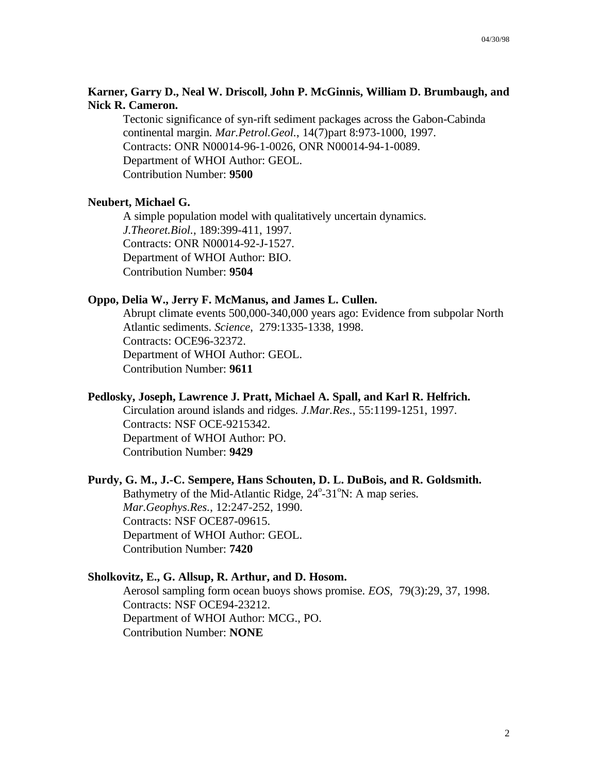## **Karner, Garry D., Neal W. Driscoll, John P. McGinnis, William D. Brumbaugh, and Nick R. Cameron.**

Tectonic significance of syn-rift sediment packages across the Gabon-Cabinda continental margin. *Mar.Petrol.Geol.*, 14(7)part 8:973-1000, 1997. Contracts: ONR N00014-96-1-0026, ONR N00014-94-1-0089. Department of WHOI Author: GEOL. Contribution Number: **9500**

#### **Neubert, Michael G.**

A simple population model with qualitatively uncertain dynamics. *J.Theoret.Biol.*, 189:399-411, 1997. Contracts: ONR N00014-92-J-1527. Department of WHOI Author: BIO. Contribution Number: **9504**

#### **Oppo, Delia W., Jerry F. McManus, and James L. Cullen.**

Abrupt climate events 500,000-340,000 years ago: Evidence from subpolar North Atlantic sediments. *Science*, 279:1335-1338, 1998. Contracts: OCE96-32372. Department of WHOI Author: GEOL. Contribution Number: **9611**

#### **Pedlosky, Joseph, Lawrence J. Pratt, Michael A. Spall, and Karl R. Helfrich.**

Circulation around islands and ridges. *J.Mar.Res.*, 55:1199-1251, 1997. Contracts: NSF OCE-9215342. Department of WHOI Author: PO. Contribution Number: **9429**

#### **Purdy, G. M., J.-C. Sempere, Hans Schouten, D. L. DuBois, and R. Goldsmith.**

Bathymetry of the Mid-Atlantic Ridge, 24°-31°N: A map series. *Mar.Geophys.Res.*, 12:247-252, 1990. Contracts: NSF OCE87-09615. Department of WHOI Author: GEOL. Contribution Number: **7420**

#### **Sholkovitz, E., G. Allsup, R. Arthur, and D. Hosom.**

Aerosol sampling form ocean buoys shows promise. *EOS*, 79(3):29, 37, 1998. Contracts: NSF OCE94-23212. Department of WHOI Author: MCG., PO. Contribution Number: **NONE**